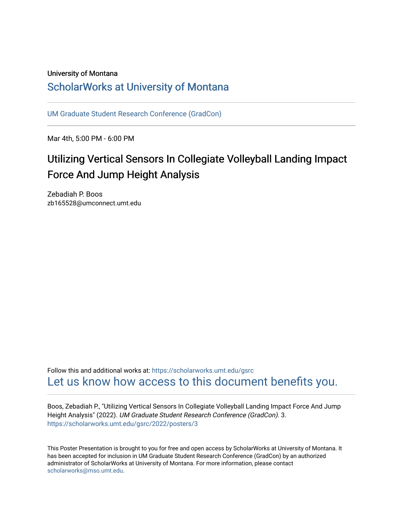#### University of Montana

## [ScholarWorks at University of Montana](https://scholarworks.umt.edu/)

[UM Graduate Student Research Conference \(GradCon\)](https://scholarworks.umt.edu/gsrc) 

Mar 4th, 5:00 PM - 6:00 PM

# Utilizing Vertical Sensors In Collegiate Volleyball Landing Impact Force And Jump Height Analysis

Zebadiah P. Boos zb165528@umconnect.umt.edu

Follow this and additional works at: [https://scholarworks.umt.edu/gsrc](https://scholarworks.umt.edu/gsrc?utm_source=scholarworks.umt.edu%2Fgsrc%2F2022%2Fposters%2F3&utm_medium=PDF&utm_campaign=PDFCoverPages)  [Let us know how access to this document benefits you.](https://goo.gl/forms/s2rGfXOLzz71qgsB2) 

Boos, Zebadiah P., "Utilizing Vertical Sensors In Collegiate Volleyball Landing Impact Force And Jump Height Analysis" (2022). UM Graduate Student Research Conference (GradCon). 3. [https://scholarworks.umt.edu/gsrc/2022/posters/3](https://scholarworks.umt.edu/gsrc/2022/posters/3?utm_source=scholarworks.umt.edu%2Fgsrc%2F2022%2Fposters%2F3&utm_medium=PDF&utm_campaign=PDFCoverPages) 

This Poster Presentation is brought to you for free and open access by ScholarWorks at University of Montana. It has been accepted for inclusion in UM Graduate Student Research Conference (GradCon) by an authorized administrator of ScholarWorks at University of Montana. For more information, please contact [scholarworks@mso.umt.edu.](mailto:scholarworks@mso.umt.edu)